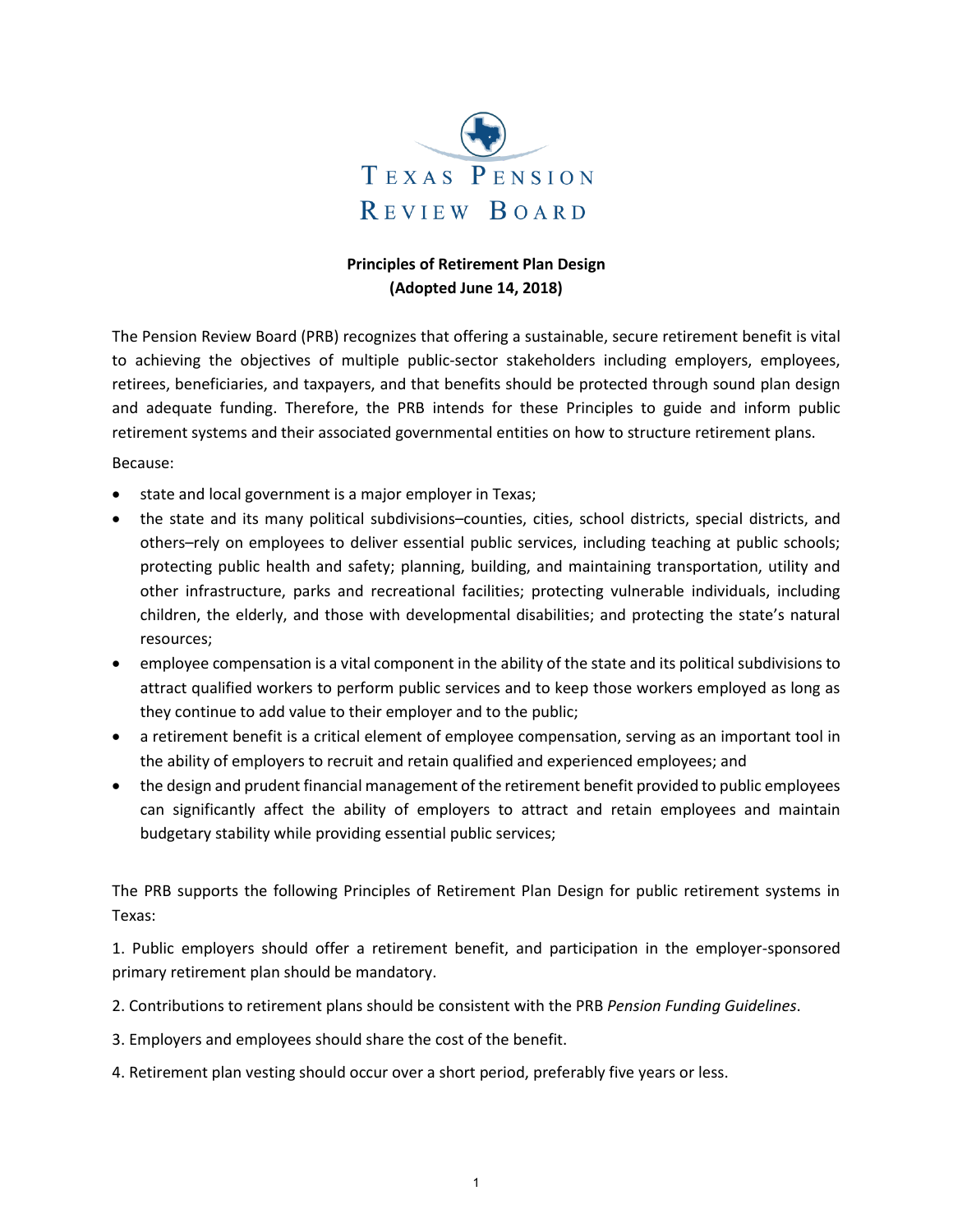

## **Principles of Retirement Plan Design (Adopted June 14, 2018)**

The Pension Review Board (PRB) recognizes that offering a sustainable, secure retirement benefit is vital to achieving the objectives of multiple public-sector stakeholders including employers, employees, retirees, beneficiaries, and taxpayers, and that benefits should be protected through sound plan design and adequate funding. Therefore, the PRB intends for these Principles to guide and inform public retirement systems and their associated governmental entities on how to structure retirement plans. Because:

- state and local government is a major employer in Texas;
- the state and its many political subdivisions–counties, cities, school districts, special districts, and others–rely on employees to deliver essential public services, including teaching at public schools; protecting public health and safety; planning, building, and maintaining transportation, utility and other infrastructure, parks and recreational facilities; protecting vulnerable individuals, including children, the elderly, and those with developmental disabilities; and protecting the state's natural resources;
- employee compensation is a vital component in the ability of the state and its political subdivisions to attract qualified workers to perform public services and to keep those workers employed as long as they continue to add value to their employer and to the public;
- a retirement benefit is a critical element of employee compensation, serving as an important tool in the ability of employers to recruit and retain qualified and experienced employees; and
- the design and prudent financial management of the retirement benefit provided to public employees can significantly affect the ability of employers to attract and retain employees and maintain budgetary stability while providing essential public services;

The PRB supports the following Principles of Retirement Plan Design for public retirement systems in Texas:

1. Public employers should offer a retirement benefit, and participation in the employer-sponsored primary retirement plan should be mandatory.

- 2. Contributions to retirement plans should be consistent with the PRB *Pension Funding Guidelines*.
- 3. Employers and employees should share the cost of the benefit.
- 4. Retirement plan vesting should occur over a short period, preferably five years or less.